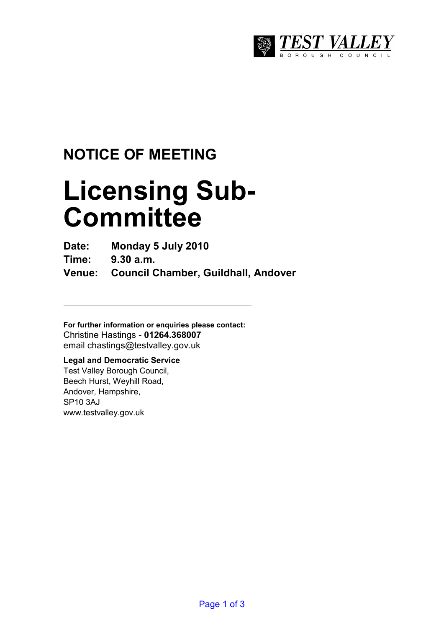

## **NOTICE OF MEETING**

# **Licensing Sub-Committee**

**Date: Monday 5 July 2010** 

**Time: 9.30 a.m.** 

**Venue: Council Chamber, Guildhall, Andover** 

**For further information or enquiries please contact:**  Christine Hastings - **01264.368007** email chastings@testvalley.gov.uk

#### **Legal and Democratic Service**

Test Valley Borough Council, Beech Hurst, Weyhill Road, Andover, Hampshire, SP10 3AJ www.testvalley.gov.uk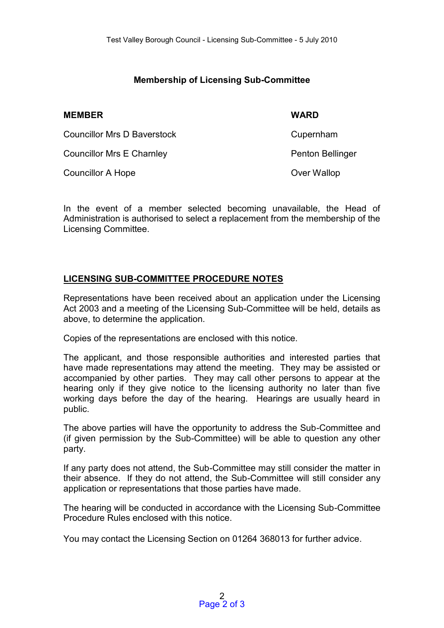#### **Membership of Licensing Sub-Committee**

| <b>MEMBER</b>                    | <b>WARD</b>      |
|----------------------------------|------------------|
| Councillor Mrs D Baverstock      | Cupernham        |
| <b>Councillor Mrs E Charnley</b> | Penton Bellinger |
| Councillor A Hope                | Over Wallop      |

In the event of a member selected becoming unavailable, the Head of Administration is authorised to select a replacement from the membership of the Licensing Committee.

#### **LICENSING SUB-COMMITTEE PROCEDURE NOTES**

Representations have been received about an application under the Licensing Act 2003 and a meeting of the Licensing Sub-Committee will be held, details as above, to determine the application.

Copies of the representations are enclosed with this notice.

The applicant, and those responsible authorities and interested parties that have made representations may attend the meeting. They may be assisted or accompanied by other parties. They may call other persons to appear at the hearing only if they give notice to the licensing authority no later than five working days before the day of the hearing. Hearings are usually heard in public.

The above parties will have the opportunity to address the Sub-Committee and (if given permission by the Sub-Committee) will be able to question any other party.

If any party does not attend, the Sub-Committee may still consider the matter in their absence. If they do not attend, the Sub-Committee will still consider any application or representations that those parties have made.

The hearing will be conducted in accordance with the Licensing Sub-Committee Procedure Rules enclosed with this notice.

You may contact the Licensing Section on 01264 368013 for further advice.